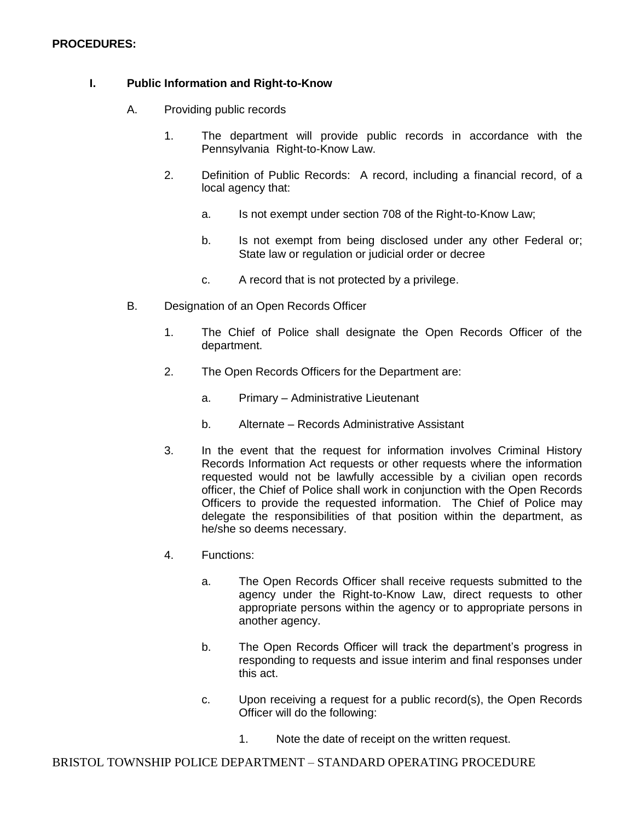## **PROCEDURES:**

## **I. Public Information and Right-to-Know**

- A. Providing public records
	- 1. The department will provide public records in accordance with the Pennsylvania Right-to-Know Law.
	- 2. Definition of Public Records: A record, including a financial record, of a local agency that:
		- a. Is not exempt under section 708 of the Right-to-Know Law;
		- b. Is not exempt from being disclosed under any other Federal or; State law or regulation or judicial order or decree
		- c. A record that is not protected by a privilege.
- B. Designation of an Open Records Officer
	- 1. The Chief of Police shall designate the Open Records Officer of the department.
	- 2. The Open Records Officers for the Department are:
		- a. Primary Administrative Lieutenant
		- b. Alternate Records Administrative Assistant
	- 3. In the event that the request for information involves Criminal History Records Information Act requests or other requests where the information requested would not be lawfully accessible by a civilian open records officer, the Chief of Police shall work in conjunction with the Open Records Officers to provide the requested information. The Chief of Police may delegate the responsibilities of that position within the department, as he/she so deems necessary.
	- 4. Functions:
		- a. The Open Records Officer shall receive requests submitted to the agency under the Right-to-Know Law, direct requests to other appropriate persons within the agency or to appropriate persons in another agency.
		- b. The Open Records Officer will track the department's progress in responding to requests and issue interim and final responses under this act.
		- c. Upon receiving a request for a public record(s), the Open Records Officer will do the following:
			- 1. Note the date of receipt on the written request.

BRISTOL TOWNSHIP POLICE DEPARTMENT – STANDARD OPERATING PROCEDURE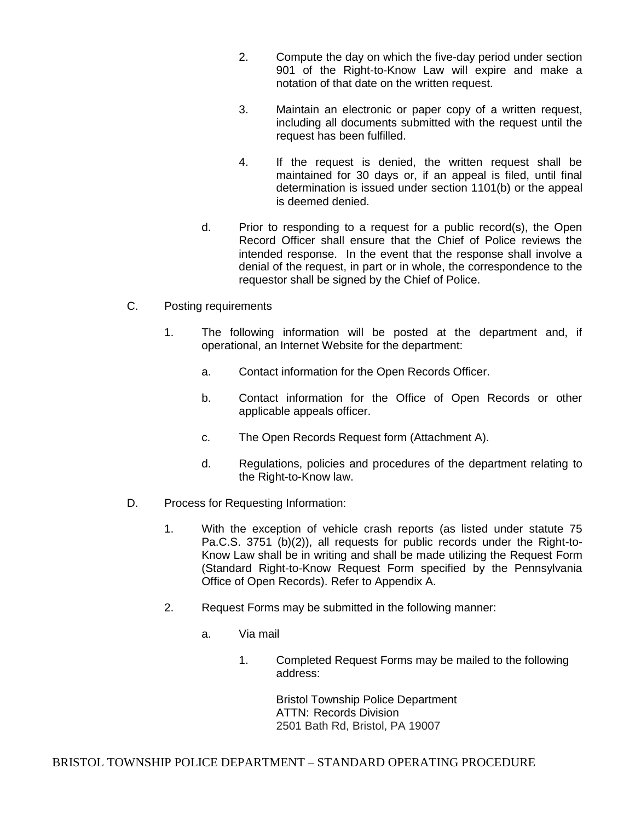- 2. Compute the day on which the five-day period under section 901 of the Right-to-Know Law will expire and make a notation of that date on the written request.
- 3. Maintain an electronic or paper copy of a written request, including all documents submitted with the request until the request has been fulfilled.
- 4. If the request is denied, the written request shall be maintained for 30 days or, if an appeal is filed, until final determination is issued under section 1101(b) or the appeal is deemed denied.
- d. Prior to responding to a request for a public record(s), the Open Record Officer shall ensure that the Chief of Police reviews the intended response. In the event that the response shall involve a denial of the request, in part or in whole, the correspondence to the requestor shall be signed by the Chief of Police.
- C. Posting requirements
	- 1. The following information will be posted at the department and, if operational, an Internet Website for the department:
		- a. Contact information for the Open Records Officer.
		- b. Contact information for the Office of Open Records or other applicable appeals officer.
		- c. The Open Records Request form (Attachment A).
		- d. Regulations, policies and procedures of the department relating to the Right-to-Know law.
- D. Process for Requesting Information:
	- 1. With the exception of vehicle crash reports (as listed under statute 75 Pa.C.S. 3751 (b)(2)), all requests for public records under the Right-to-Know Law shall be in writing and shall be made utilizing the Request Form (Standard Right-to-Know Request Form specified by the Pennsylvania Office of Open Records). Refer to Appendix A.
	- 2. Request Forms may be submitted in the following manner:
		- a. Via mail
			- 1. Completed Request Forms may be mailed to the following address:

Bristol Township Police Department ATTN: Records Division 2501 Bath Rd, Bristol, PA 19007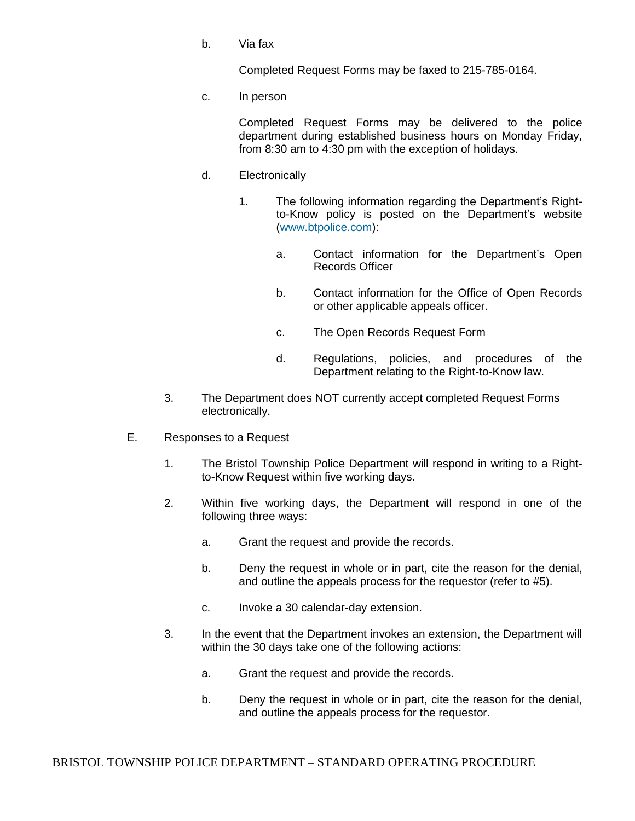b. Via fax

Completed Request Forms may be faxed to 215-785-0164.

c. In person

Completed Request Forms may be delivered to the police department during established business hours on Monday Friday, from 8:30 am to 4:30 pm with the exception of holidays.

- d. Electronically
	- 1. The following information regarding the Department's Rightto-Know policy is posted on the Department's website (www.btpolice.com):
		- a. Contact information for the Department's Open Records Officer
		- b. Contact information for the Office of Open Records or other applicable appeals officer.
		- c. The Open Records Request Form
		- d. Regulations, policies, and procedures of the Department relating to the Right-to-Know law.
- 3. The Department does NOT currently accept completed Request Forms electronically.
- E. Responses to a Request
	- 1. The Bristol Township Police Department will respond in writing to a Rightto-Know Request within five working days.
	- 2. Within five working days, the Department will respond in one of the following three ways:
		- a. Grant the request and provide the records.
		- b. Deny the request in whole or in part, cite the reason for the denial, and outline the appeals process for the requestor (refer to #5).
		- c. Invoke a 30 calendar-day extension.
	- 3. In the event that the Department invokes an extension, the Department will within the 30 days take one of the following actions:
		- a. Grant the request and provide the records.
		- b. Deny the request in whole or in part, cite the reason for the denial, and outline the appeals process for the requestor.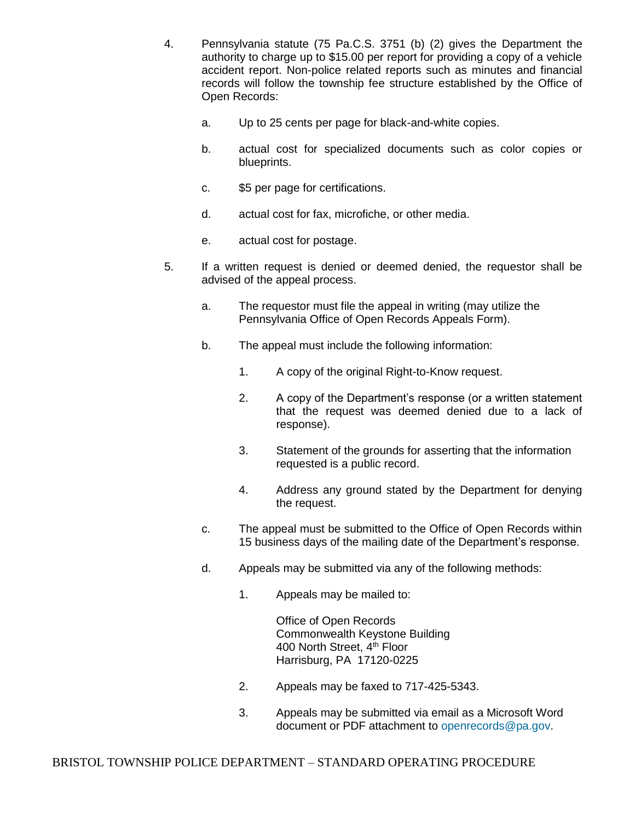- 4. Pennsylvania statute (75 Pa.C.S. 3751 (b) (2) gives the Department the authority to charge up to \$15.00 per report for providing a copy of a vehicle accident report. Non-police related reports such as minutes and financial records will follow the township fee structure established by the Office of Open Records:
	- a. Up to 25 cents per page for black-and-white copies.
	- b. actual cost for specialized documents such as color copies or blueprints.
	- c. \$5 per page for certifications.
	- d. actual cost for fax, microfiche, or other media.
	- e. actual cost for postage.
- 5. If a written request is denied or deemed denied, the requestor shall be advised of the appeal process.
	- a. The requestor must file the appeal in writing (may utilize the Pennsylvania Office of Open Records Appeals Form).
	- b. The appeal must include the following information:
		- 1. A copy of the original Right-to-Know request.
		- 2. A copy of the Department's response (or a written statement that the request was deemed denied due to a lack of response).
		- 3. Statement of the grounds for asserting that the information requested is a public record.
		- 4. Address any ground stated by the Department for denying the request.
	- c. The appeal must be submitted to the Office of Open Records within 15 business days of the mailing date of the Department's response.
	- d. Appeals may be submitted via any of the following methods:
		- 1. Appeals may be mailed to:

Office of Open Records Commonwealth Keystone Building 400 North Street, 4<sup>th</sup> Floor Harrisburg, PA 17120-0225

- 2. Appeals may be faxed to 717-425-5343.
- 3. Appeals may be submitted via email as a Microsoft Word document or PDF attachment to openrecords@pa.gov.